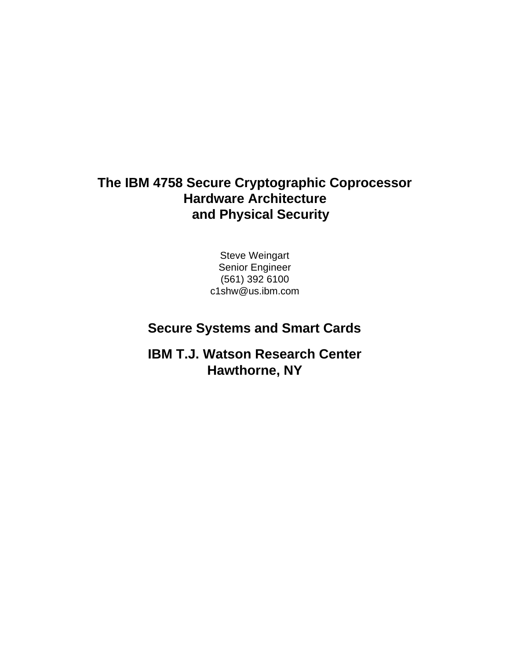### **The IBM 4758 Secure Cryptographic Coprocessor Hardware Architecture and Physical Security**

Steve Weingart Senior Engineer (561) 392 6100 c1shw@us.ibm.com

### **Secure Systems and Smart Cards**

**IBM T.J. Watson Research Center Hawthorne, NY**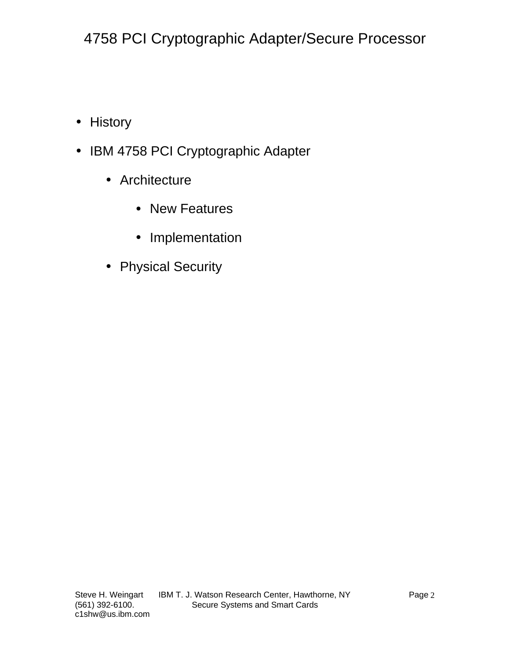- History
- IBM 4758 PCI Cryptographic Adapter
	- Architecture
		- New Features
		- Implementation
	- Physical Security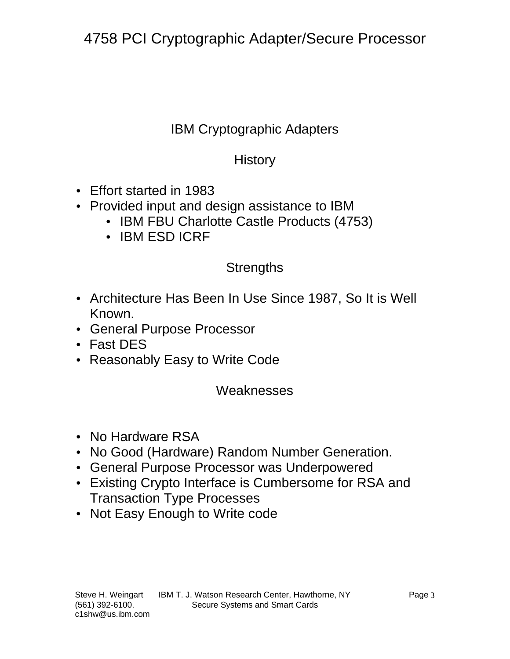### IBM Cryptographic Adapters

### **History**

- Effort started in 1983
- Provided input and design assistance to IBM
	- IBM FBU Charlotte Castle Products (4753)
	- IBM ESD ICRF

### **Strengths**

- Architecture Has Been In Use Since 1987, So It is Well Known.
- General Purpose Processor
- Fast DES
- Reasonably Easy to Write Code

#### **Weaknesses**

- No Hardware RSA
- No Good (Hardware) Random Number Generation.
- General Purpose Processor was Underpowered
- Existing Crypto Interface is Cumbersome for RSA and Transaction Type Processes
- Not Easy Enough to Write code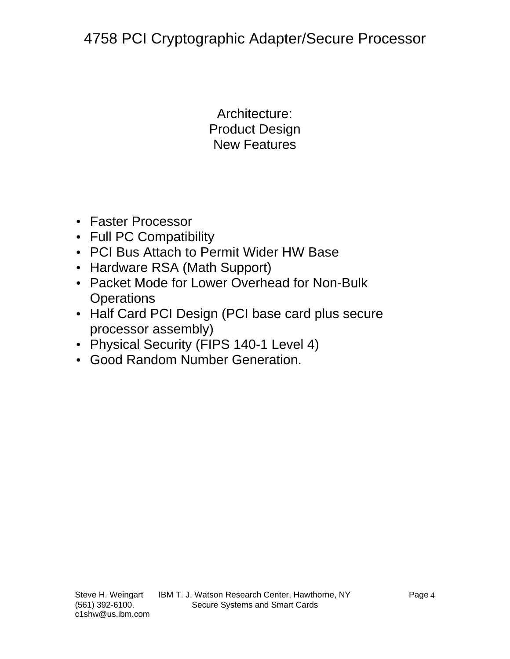Architecture: Product Design New Features

- Faster Processor
- Full PC Compatibility
- PCI Bus Attach to Permit Wider HW Base
- Hardware RSA (Math Support)
- Packet Mode for Lower Overhead for Non-Bulk **Operations**
- Half Card PCI Design (PCI base card plus secure processor assembly)
- Physical Security (FIPS 140-1 Level 4)
- Good Random Number Generation.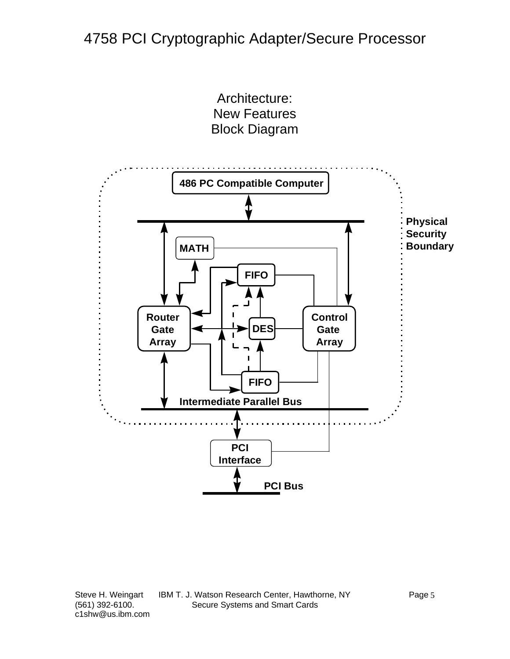Architecture: New Features Block Diagram

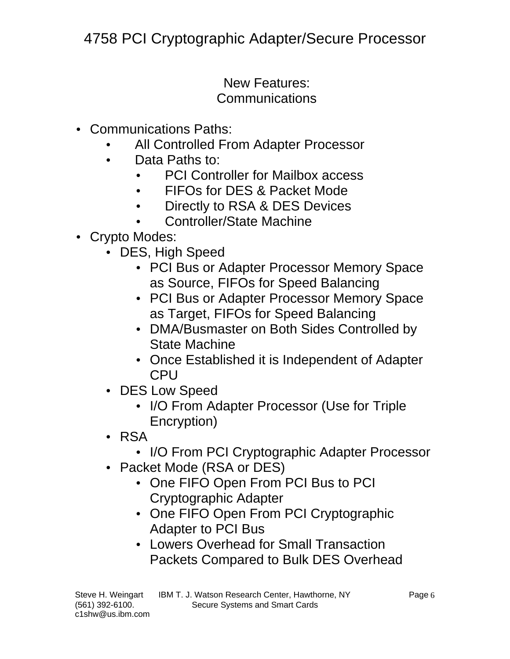### New Features: **Communications**

- Communications Paths:
	- All Controlled From Adapter Processor
	- Data Paths to:
		- PCI Controller for Mailbox access
		- FIFOs for DES & Packet Mode
		- Directly to RSA & DES Devices
		- Controller/State Machine

### • Crypto Modes:

- DES, High Speed
	- PCI Bus or Adapter Processor Memory Space as Source, FIFOs for Speed Balancing
	- PCI Bus or Adapter Processor Memory Space as Target, FIFOs for Speed Balancing
	- DMA/Busmaster on Both Sides Controlled by State Machine
	- Once Established it is Independent of Adapter CPU
- DES Low Speed
	- I/O From Adapter Processor (Use for Triple Encryption)
- RSA
	- I/O From PCI Cryptographic Adapter Processor
- Packet Mode (RSA or DES)
	- One FIFO Open From PCI Bus to PCI Cryptographic Adapter
	- One FIFO Open From PCI Cryptographic Adapter to PCI Bus
	- Lowers Overhead for Small Transaction Packets Compared to Bulk DES Overhead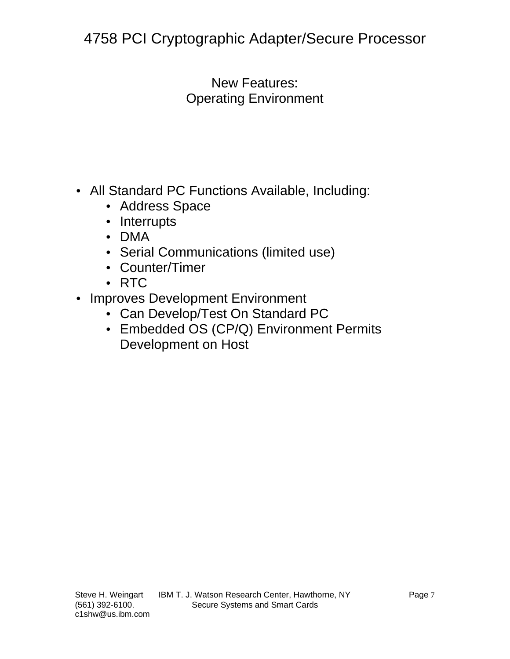New Features: Operating Environment

- All Standard PC Functions Available, Including:
	- Address Space
	- Interrupts
	- DMA
	- Serial Communications (limited use)
	- Counter/Timer
	- RTC
- Improves Development Environment
	- Can Develop/Test On Standard PC
	- Embedded OS (CP/Q) Environment Permits Development on Host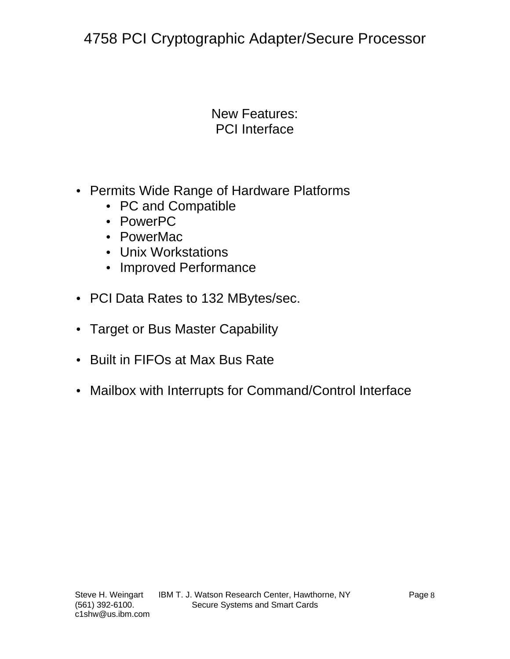#### New Features: PCI Interface

- Permits Wide Range of Hardware Platforms
	- PC and Compatible
	- PowerPC
	- PowerMac
	- Unix Workstations
	- Improved Performance
- PCI Data Rates to 132 MBytes/sec.
- Target or Bus Master Capability
- Built in FIFOs at Max Bus Rate
- Mailbox with Interrupts for Command/Control Interface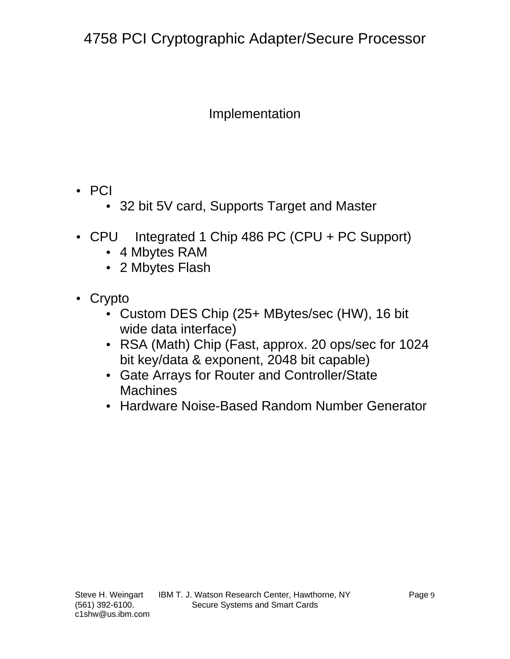### Implementation

- PCI
	- 32 bit 5V card, Supports Target and Master
- CPU Integrated 1 Chip 486 PC (CPU + PC Support)
	- 4 Mbytes RAM
	- 2 Mbytes Flash
- Crypto
	- Custom DES Chip (25+ MBytes/sec (HW), 16 bit wide data interface)
	- RSA (Math) Chip (Fast, approx. 20 ops/sec for 1024 bit key/data & exponent, 2048 bit capable)
	- Gate Arrays for Router and Controller/State **Machines**
	- Hardware Noise-Based Random Number Generator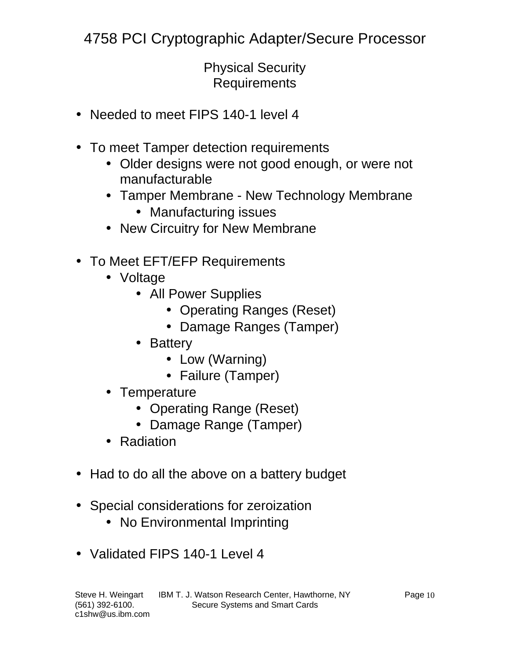Physical Security **Requirements** 

- Needed to meet FIPS 140-1 level 4
- To meet Tamper detection requirements
	- Older designs were not good enough, or were not manufacturable
	- Tamper Membrane New Technology Membrane
		- Manufacturing issues
	- New Circuitry for New Membrane
- To Meet EFT/EFP Requirements
	- Voltage
		- All Power Supplies
			- Operating Ranges (Reset)
			- Damage Ranges (Tamper)
		- Battery
			- Low (Warning)
			- Failure (Tamper)
	- Temperature
		- Operating Range (Reset)
		- Damage Range (Tamper)
	- Radiation
- Had to do all the above on a battery budget
- Special considerations for zeroization
	- No Environmental Imprinting
- Validated FIPS 140-1 Level 4